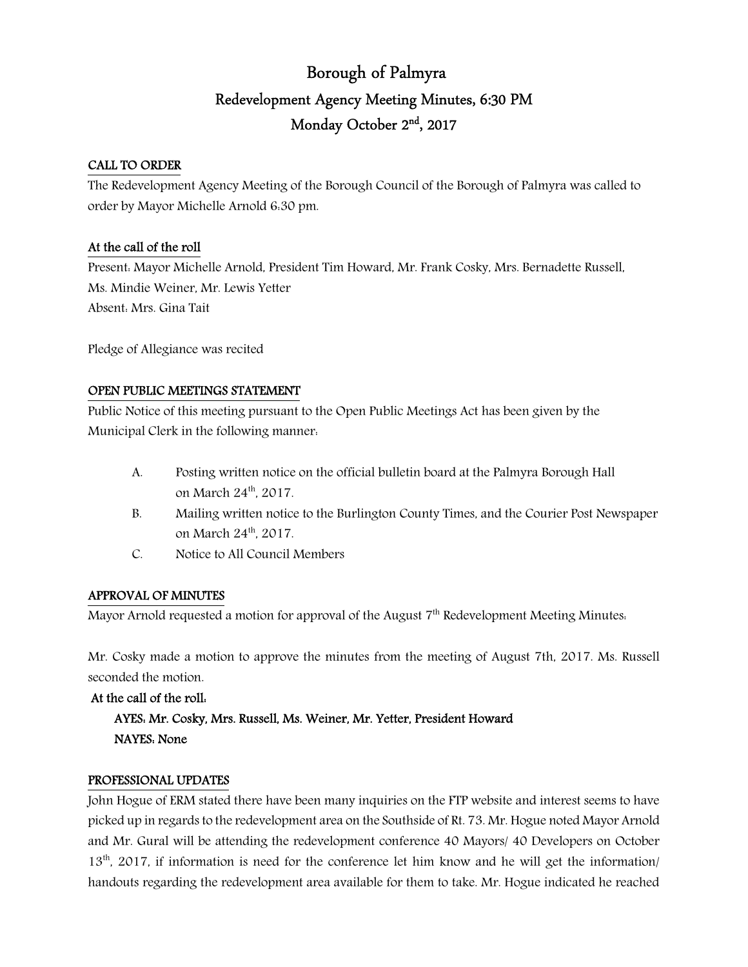# Borough of Palmyra Redevelopment Agency Meeting Minutes, 6:30 PM Monday October 2<sup>nd</sup>, 2017

### CALL TO ORDER

The Redevelopment Agency Meeting of the Borough Council of the Borough of Palmyra was called to order by Mayor Michelle Arnold 6:30 pm.

### At the call of the roll

Present: Mayor Michelle Arnold, President Tim Howard, Mr. Frank Cosky, Mrs. Bernadette Russell, Ms. Mindie Weiner, Mr. Lewis Yetter Absent: Mrs. Gina Tait

Pledge of Allegiance was recited

# OPEN PUBLIC MEETINGS STATEMENT

Public Notice of this meeting pursuant to the Open Public Meetings Act has been given by the Municipal Clerk in the following manner:

- A. Posting written notice on the official bulletin board at the Palmyra Borough Hall on March 24<sup>th</sup>, 2017.
- B. Mailing written notice to the Burlington County Times, and the Courier Post Newspaper on March 24<sup>th</sup>, 2017.
- C. Notice to All Council Members

# APPROVAL OF MINUTES

Mayor Arnold requested a motion for approval of the August  $7<sup>th</sup>$  Redevelopment Meeting Minutes.

Mr. Cosky made a motion to approve the minutes from the meeting of August 7th, 2017. Ms. Russell seconded the motion.

#### At the call of the roll:

 AYES: Mr. Cosky, Mrs. Russell, Ms. Weiner, Mr. Yetter, President Howard NAYES: None

#### PROFESSIONAL UPDATES

John Hogue of ERM stated there have been many inquiries on the FTP website and interest seems to have picked up in regards to the redevelopment area on the Southside of Rt. 73. Mr. Hogue noted Mayor Arnold and Mr. Gural will be attending the redevelopment conference 40 Mayors/ 40 Developers on October 13<sup>th</sup>, 2017, if information is need for the conference let him know and he will get the information/ handouts regarding the redevelopment area available for them to take. Mr. Hogue indicated he reached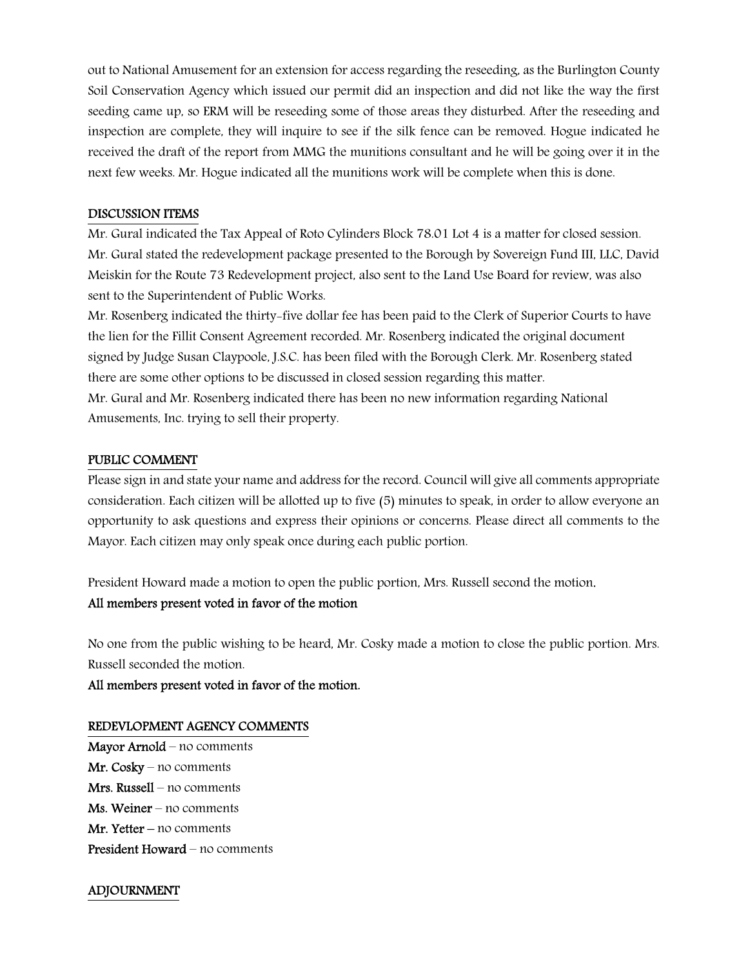out to National Amusement for an extension for access regarding the reseeding, as the Burlington County Soil Conservation Agency which issued our permit did an inspection and did not like the way the first seeding came up, so ERM will be reseeding some of those areas they disturbed. After the reseeding and inspection are complete, they will inquire to see if the silk fence can be removed. Hogue indicated he received the draft of the report from MMG the munitions consultant and he will be going over it in the next few weeks. Mr. Hogue indicated all the munitions work will be complete when this is done.

#### DISCUSSION ITEMS

Mr. Gural indicated the Tax Appeal of Roto Cylinders Block 78.01 Lot 4 is a matter for closed session. Mr. Gural stated the redevelopment package presented to the Borough by Sovereign Fund III, LLC, David Meiskin for the Route 73 Redevelopment project, also sent to the Land Use Board for review, was also sent to the Superintendent of Public Works.

Mr. Rosenberg indicated the thirty-five dollar fee has been paid to the Clerk of Superior Courts to have the lien for the Fillit Consent Agreement recorded. Mr. Rosenberg indicated the original document signed by Judge Susan Claypoole, J.S.C. has been filed with the Borough Clerk. Mr. Rosenberg stated there are some other options to be discussed in closed session regarding this matter. Mr. Gural and Mr. Rosenberg indicated there has been no new information regarding National Amusements, Inc. trying to sell their property.

#### PUBLIC COMMENT

Please sign in and state your name and address for the record. Council will give all comments appropriate consideration. Each citizen will be allotted up to five (5) minutes to speak, in order to allow everyone an opportunity to ask questions and express their opinions or concerns. Please direct all comments to the Mayor. Each citizen may only speak once during each public portion.

President Howard made a motion to open the public portion, Mrs. Russell second the motion.

# All members present voted in favor of the motion

No one from the public wishing to be heard, Mr. Cosky made a motion to close the public portion. Mrs. Russell seconded the motion.

All members present voted in favor of the motion.

# REDEVLOPMENT AGENCY COMMENTS

Mayor Arnold – no comments Mr. Cosky – no comments Mrs. Russell – no comments Ms. Weiner – no comments Mr. Yetter – no comments President Howard – no comments

# ADJOURNMENT